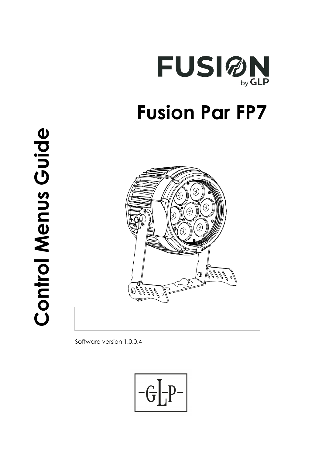



Software version 1.0.0.4

$$
\boxed{-G\boxed{-P^-}}
$$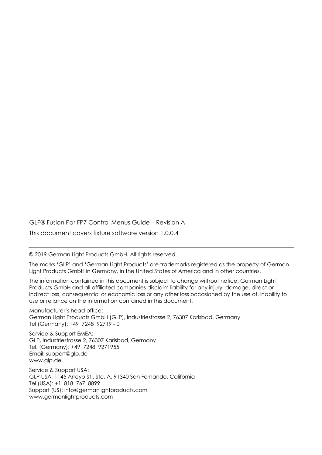GLP® Fusion Par FP7 Control Menus Guide – Revision A

This document covers fixture software version 1.0.0.4

© 2019 German Light Products GmbH. All rights reserved.

The marks 'GLP' and 'German Light Products' are trademarks registered as the property of German Light Products GmbH in Germany, in the United States of America and in other countries.

The information contained in this document is subject to change without notice. German Light Products GmbH and all affiliated companies disclaim liability for any injury, damage, direct or indirect loss, consequential or economic loss or any other loss occasioned by the use of, inability to use or reliance on the information contained in this document.

Manufacturer's head office: German Light Products GmbH (GLP), Industriestrasse 2, 76307 Karlsbad, Germany Tel (Germany): +49 7248 92719 - 0

Service & Support EMEA: GLP, Industriestrasse 2, 76307 Karlsbad, Germany Tel. (Germany): +49 7248 9271955 Email: support@glp.de www.glp.de

Service & Support USA: GLP USA, 1145 Arroyo St., Ste. A, 91340 San Fernando, California Tel (USA): +1 818 767 8899 Support (US): info@germanlightproducts.com www.germanlightproducts.com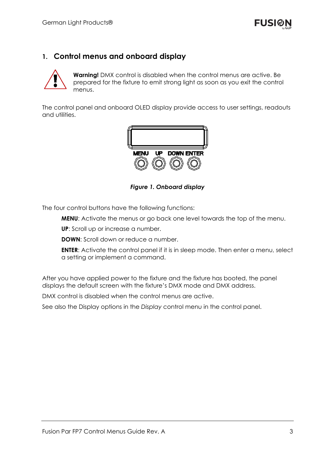## **1. Control menus and onboard display**



**Warning!** DMX control is disabled when the control menus are active. Be prepared for the fixture to emit strong light as soon as you exit the control menus.

The control panel and onboard OLED display provide access to user settings, readouts and utilities.



*Figure 1. Onboard display* 

The four control buttons have the following functions:

**MENU**: Activate the menus or go back one level towards the top of the menu.

**UP**: Scroll up or increase a number.

**DOWN:** Scroll down or reduce a number.

**ENTER:** Activate the control panel if it is in sleep mode. Then enter a menu, select a setting or implement a command.

After you have applied power to the fixture and the fixture has booted, the panel displays the default screen with the fixture's DMX mode and DMX address.

DMX control is disabled when the control menus are active.

See also the Display options in the *Display* control menu in the control panel.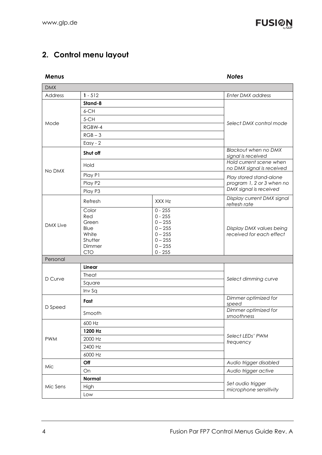

## **2. Control menu layout**

| Menus           |                                                                           |                                                                                                      | <b>Notes</b>                                         |
|-----------------|---------------------------------------------------------------------------|------------------------------------------------------------------------------------------------------|------------------------------------------------------|
| <b>DMX</b>      |                                                                           |                                                                                                      |                                                      |
| Address         | $1 - 512$                                                                 |                                                                                                      | <b>Enter DMX address</b>                             |
|                 | Stand-8                                                                   |                                                                                                      |                                                      |
|                 | 6-CH                                                                      |                                                                                                      |                                                      |
| Mode            | 5-CH                                                                      |                                                                                                      |                                                      |
|                 | RGBW-4                                                                    |                                                                                                      | Select DMX control mode                              |
|                 | $RGB-3$                                                                   |                                                                                                      |                                                      |
|                 | Easy - $2$                                                                |                                                                                                      |                                                      |
| No DMX          | Shut off                                                                  |                                                                                                      | Blackout when no DMX<br>signal is received           |
|                 | Hold                                                                      |                                                                                                      | Hold current scene when<br>no DMX signal is received |
|                 | Play P1                                                                   |                                                                                                      | Play stored stand-alone                              |
|                 | Play P2                                                                   |                                                                                                      | program 1, 2 or 3 when no                            |
|                 | Play P3                                                                   |                                                                                                      | DMX signal is received                               |
|                 | Refresh                                                                   | XXX Hz                                                                                               | Display current DMX signal<br>refresh rate           |
| <b>DMX Live</b> | Color<br>Red<br>Green<br>Blue<br>White<br>Shutter<br>Dimmer<br><b>CTO</b> | $0 - 255$<br>$0 - 255$<br>$0 - 255$<br>$0 - 255$<br>$0 - 255$<br>$0 - 255$<br>$0 - 255$<br>$0 - 255$ | Display DMX values being<br>received for each effect |
| Personal        |                                                                           |                                                                                                      |                                                      |
|                 | Linear                                                                    |                                                                                                      | Select dimming curve                                 |
| D Curve         | Theat                                                                     |                                                                                                      |                                                      |
|                 | Square                                                                    |                                                                                                      |                                                      |
|                 | Inv Sq                                                                    |                                                                                                      |                                                      |
| D Speed         | Fast                                                                      |                                                                                                      | Dimmer optimized for<br>speed                        |
|                 | Smooth                                                                    |                                                                                                      | Dimmer optimized for<br>smoothness                   |
| <b>PWM</b>      | 600 Hz                                                                    |                                                                                                      |                                                      |
|                 | 1200 Hz                                                                   |                                                                                                      | Select LEDs' PWM<br>frequency                        |
|                 | 2000 Hz                                                                   |                                                                                                      |                                                      |
|                 | 2400 Hz                                                                   |                                                                                                      |                                                      |
|                 | 6000 Hz                                                                   |                                                                                                      |                                                      |
| Mic             | Off                                                                       |                                                                                                      | Audio trigger disabled                               |
|                 | On                                                                        |                                                                                                      | Audio trigger active                                 |
| Mic Sens        | Normal                                                                    |                                                                                                      | Set audio trigger                                    |
|                 | High                                                                      |                                                                                                      | microphone sensitivity                               |
|                 | Low                                                                       |                                                                                                      |                                                      |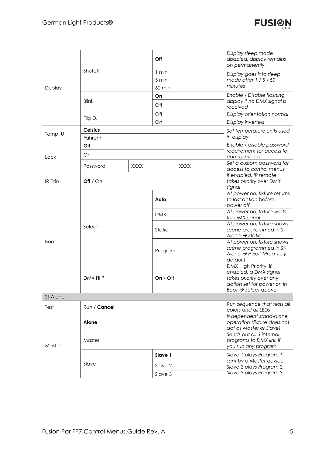

| Display        | Shutoff        |             | Off        |                                                                                    | Display sleep mode<br>disabled: display remains<br>on permanently                                                                          |
|----------------|----------------|-------------|------------|------------------------------------------------------------------------------------|--------------------------------------------------------------------------------------------------------------------------------------------|
|                |                |             | 1 min      |                                                                                    | Display goes into sleep                                                                                                                    |
|                |                |             | 5 min      |                                                                                    | mode after $1/5/60$                                                                                                                        |
|                |                |             | 60 min     |                                                                                    | minutes                                                                                                                                    |
|                | <b>Blink</b>   |             | On         |                                                                                    | Enable / Disable flashing                                                                                                                  |
|                |                |             | Off        |                                                                                    | display if no DMX signal is<br>received                                                                                                    |
|                | Flip D.        |             | Off        |                                                                                    | Display orientation normal                                                                                                                 |
|                |                |             | On         |                                                                                    | Display inverted                                                                                                                           |
|                | <b>Celsius</b> |             |            | Set temperature units used                                                         |                                                                                                                                            |
| Temp. U        | Fahrenh        |             |            |                                                                                    | in display                                                                                                                                 |
|                | Off            |             |            |                                                                                    | Enable / disable password                                                                                                                  |
| Lock           | On             |             |            |                                                                                    | requirement for access to<br>control menus                                                                                                 |
|                | Password       | <b>XXXX</b> |            | <b>XXXX</b>                                                                        | Set a custom password for<br>access to control menus                                                                                       |
| <b>IR Prio</b> | Off $/$ On     |             |            | If enabled, IR remote<br>takes priority over DMX<br>signal                         |                                                                                                                                            |
|                | Select         |             | Auto       |                                                                                    | At power on, fixture returns<br>to last action before<br>power off                                                                         |
|                |                |             | <b>DMX</b> |                                                                                    | At power on, fixture waits<br>for DMX signal                                                                                               |
|                |                |             | Static     |                                                                                    | At power on, fixture shows<br>scene programmed in St-<br>Alone $\rightarrow$ Static                                                        |
| <b>Boot</b>    |                |             | Program    |                                                                                    | At power on, fixture shows<br>scene programmed in St-<br>Alone $\rightarrow$ P Edit (Prog 1 by<br>default)                                 |
|                | DMX Hi P       |             | On $/$ Off |                                                                                    | DMX High Priority: if<br>enabled, a DMX signal<br>takes priority over any<br>action set for power on in<br>Boot $\rightarrow$ Select above |
| St-Alone       |                |             |            |                                                                                    |                                                                                                                                            |
| Test           | Run / Cancel   |             |            | Run sequence that tests all<br>colors and all LEDs                                 |                                                                                                                                            |
|                | Alone          |             |            | Independent stand-alone<br>operation (fixture does not<br>act as Master or Slave). |                                                                                                                                            |
| Master         | Master         |             |            | Sends out all 3 internal<br>programs to DMX link if<br>you run any program         |                                                                                                                                            |
|                | Slave          |             | Slave 1    |                                                                                    | Slave 1 plays Program 1<br>sent by a Master device,                                                                                        |
|                |                |             | Slave 2    |                                                                                    | Slave 2 plays Program 2,                                                                                                                   |
|                |                |             | Slave 3    |                                                                                    | Slave 3 plays Program 3                                                                                                                    |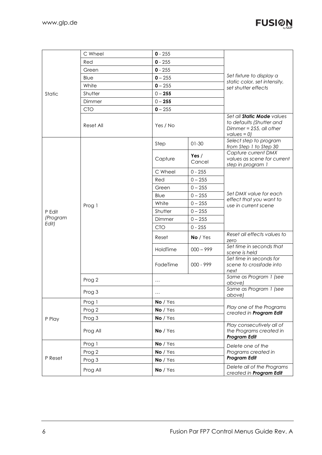

|                   | C Wheel    | $0 - 255$  |                   | Set fixture to display a<br>static color, set intensity,<br>set shutter effects                               |  |
|-------------------|------------|------------|-------------------|---------------------------------------------------------------------------------------------------------------|--|
|                   | Red        | $0 - 255$  |                   |                                                                                                               |  |
|                   | Green      | $0 - 255$  |                   |                                                                                                               |  |
|                   | Blue       | $0 - 255$  |                   |                                                                                                               |  |
|                   | White      | $0 - 255$  |                   |                                                                                                               |  |
| Static            | Shutter    | $0 - 255$  |                   |                                                                                                               |  |
|                   | Dimmer     | $0 - 255$  |                   |                                                                                                               |  |
|                   | <b>CTO</b> | $0 - 255$  |                   |                                                                                                               |  |
|                   | Reset All  | Yes / No   |                   | Set all <b>Static Mode</b> values<br>to defaults (Shutter and<br>Dimmer = $255$ , all other<br>values = $0$ ) |  |
|                   |            | Step       | $01-30$           | Select step to program<br>from Step 1 to Step 30                                                              |  |
|                   |            | Capture    | Yes $/$<br>Cancel | Capture current DMX<br>values as scene for current<br>step in program 1                                       |  |
|                   |            | C Wheel    | $0 - 255$         |                                                                                                               |  |
|                   | Prog 1     | Red        | $0 - 255$         |                                                                                                               |  |
|                   |            | Green      | $0 - 255$         |                                                                                                               |  |
|                   |            | Blue       | $0 - 255$         | Set DMX value for each<br>effect that you want to                                                             |  |
|                   |            | White      | $0 - 255$         | use in current scene                                                                                          |  |
| P Edit            |            | Shutter    | $0 - 255$         |                                                                                                               |  |
| (Program<br>Edit) |            | Dimmer     | $0 - 255$         |                                                                                                               |  |
|                   |            | <b>CTO</b> | $0 - 255$         |                                                                                                               |  |
|                   |            | Reset      | No / Yes          | Reset all effects values to<br>zero                                                                           |  |
|                   |            | HoldTime   | $000 - 999$       | Set time in seconds that<br>scene is held                                                                     |  |
|                   |            | FadeTime   | 000 - 999         | Set time in seconds for<br>scene to crossfade into<br>next                                                    |  |
|                   | Prog 2     | $\cdots$   |                   | Same as Program 1 (see<br>above)                                                                              |  |
|                   | Prog 3     | $\ldots$   |                   | Same as Program 1 (see<br>above)                                                                              |  |
| P Play            | Prog 1     | No / Yes   |                   | Play one of the Programs<br>created in Program Edit                                                           |  |
|                   | Prog 2     | No / Yes   |                   |                                                                                                               |  |
|                   | Prog 3     | No / Yes   |                   |                                                                                                               |  |
|                   | Prog All   | No / Yes   |                   | Play consecutively all of<br>the Programs created in<br><b>Program Edit</b>                                   |  |
|                   | Prog 1     | No / Yes   |                   | Delete one of the                                                                                             |  |
|                   | Prog 2     | No / Yes   |                   | Programs created in<br><b>Program Edit</b>                                                                    |  |
| P Reset           | Prog 3     | No / Yes   |                   |                                                                                                               |  |
|                   | Prog All   | No / Yes   |                   | Delete all of the Programs<br>created in Program Edit                                                         |  |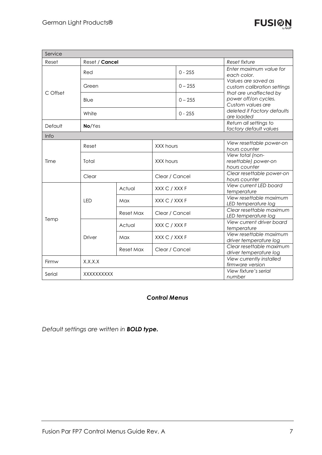| Service  |                |           |                |                                              |                                                                                                                                                                                                                  |
|----------|----------------|-----------|----------------|----------------------------------------------|------------------------------------------------------------------------------------------------------------------------------------------------------------------------------------------------------------------|
| Reset    | Reset / Cancel |           |                | Reset fixture                                |                                                                                                                                                                                                                  |
| C Offset | Red            |           |                | $0 - 255$                                    | Enter maximum value for<br>each color.<br>Values are saved as<br>custom calibration settings<br>that are unaffected by<br>power off/on cycles.<br>Custom values are<br>deleted if Factory defaults<br>are loaded |
|          | Green          |           |                | $0 - 255$                                    |                                                                                                                                                                                                                  |
|          | Blue           |           |                | $0 - 255$                                    |                                                                                                                                                                                                                  |
|          | White          |           |                | $0 - 255$                                    |                                                                                                                                                                                                                  |
| Default  | No/Yes         |           |                |                                              | Return all settings to<br>factory default values                                                                                                                                                                 |
| Info     |                |           |                |                                              |                                                                                                                                                                                                                  |
|          | Reset          |           | XXX hours      |                                              | View resettable power-on<br>hours counter                                                                                                                                                                        |
| Time     | Total          |           | XXX hours      |                                              | View total (non-<br>resettable) power-on<br>hours counter                                                                                                                                                        |
|          | Clear          |           |                | Clear / Cancel                               | Clear resettable power-on<br>hours counter                                                                                                                                                                       |
| Temp     | <b>LED</b>     | Actual    | XXX C / XXX F  |                                              | View current LED board<br>temperature                                                                                                                                                                            |
|          |                | Max       | XXX C / XXX F  |                                              | View resettable maximum<br>LED temperature log                                                                                                                                                                   |
|          |                | Reset Max | Clear / Cancel |                                              | Clear resettable maximum<br>LED temperature log                                                                                                                                                                  |
|          | Driver         | Actual    | XXX C / XXX F  |                                              | View current driver board<br>temperature                                                                                                                                                                         |
|          |                | Max       | XXX C / XXX F  |                                              | View resettable maximum<br>driver temperature log                                                                                                                                                                |
|          |                | Reset Max | Clear / Cancel |                                              | Clear resettable maximum<br>driver temperature log                                                                                                                                                               |
| Firmw    | X.X.X.X        |           |                | View currently installed<br>firmware version |                                                                                                                                                                                                                  |
| Serial   | XXXXXXXXXX     |           |                | View fixture's serial<br>number              |                                                                                                                                                                                                                  |

## *Control Menus*

*Default settings are written in BOLD type.*